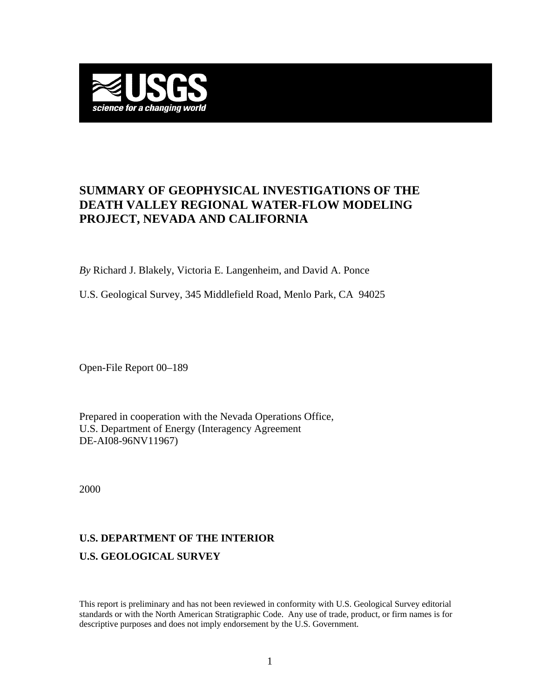

## **SUMMARY OF GEOPHYSICAL INVESTIGATIONS OF THE DEATH VALLEY REGIONAL WATER-FLOW MODELING PROJECT, NEVADA AND CALIFORNIA**

*By* Richard J. Blakely, Victoria E. Langenheim, and David A. Ponce

U.S. Geological Survey, 345 Middlefield Road, Menlo Park, CA 94025

Open-File Report 00–189

Prepared in cooperation with the Nevada Operations Office, U.S. Department of Energy (Interagency Agreement DE-AI08-96NV11967)

2000

# **U.S. DEPARTMENT OF THE INTERIOR U.S. GEOLOGICAL SURVEY**

This report is preliminary and has not been reviewed in conformity with U.S. Geological Survey editorial standards or with the North American Stratigraphic Code. Any use of trade, product, or firm names is for descriptive purposes and does not imply endorsement by the U.S. Government.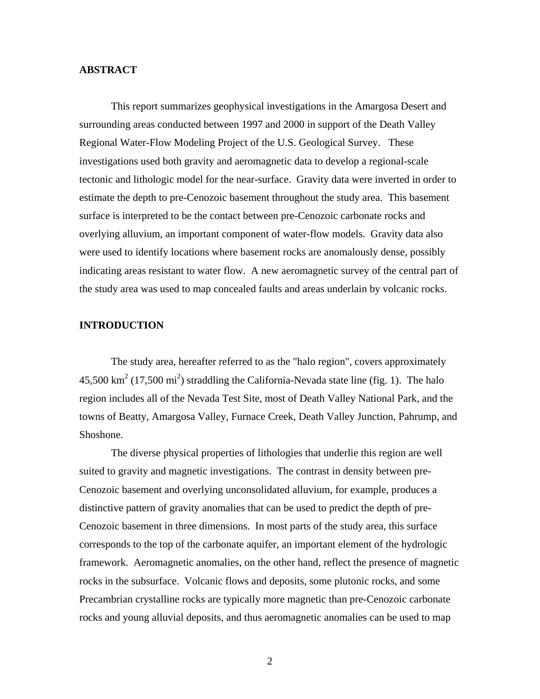## **ABSTRACT**

This report summarizes geophysical investigations in the Amargosa Desert and surrounding areas conducted between 1997 and 2000 in support of the Death Valley Regional Water-Flow Modeling Project of the U.S. Geological Survey. These investigations used both gravity and aeromagnetic data to develop a regional-scale tectonic and lithologic model for the near-surface. Gravity data were inverted in order to estimate the depth to pre-Cenozoic basement throughout the study area. This basement surface is interpreted to be the contact between pre-Cenozoic carbonate rocks and overlying alluvium, an important component of water-flow models. Gravity data also were used to identify locations where basement rocks are anomalously dense, possibly indicating areas resistant to water flow. A new aeromagnetic survey of the central part of the study area was used to map concealed faults and areas underlain by volcanic rocks.

## **INTRODUCTION**

The study area, hereafter referred to as the "halo region", covers approximately  $45,500 \text{ km}^2$  (17,500 mi<sup>2</sup>) straddling the California-Nevada state line [\(fig. 1\).](http://geopubs.wr.usgs.gov/open-file/of00-189/fig1.pdf) The halo region includes all of the Nevada Test Site, most of Death Valley National Park, and the towns of Beatty, Amargosa Valley, Furnace Creek, Death Valley Junction, Pahrump, and Shoshone.

The diverse physical properties of lithologies that underlie this region are well suited to gravity and magnetic investigations. The contrast in density between pre-Cenozoic basement and overlying unconsolidated alluvium, for example, produces a distinctive pattern of gravity anomalies that can be used to predict the depth of pre-Cenozoic basement in three dimensions. In most parts of the study area, this surface corresponds to the top of the carbonate aquifer, an important element of the hydrologic framework. Aeromagnetic anomalies, on the other hand, reflect the presence of magnetic rocks in the subsurface. Volcanic flows and deposits, some plutonic rocks, and some Precambrian crystalline rocks are typically more magnetic than pre-Cenozoic carbonate rocks and young alluvial deposits, and thus aeromagnetic anomalies can be used to map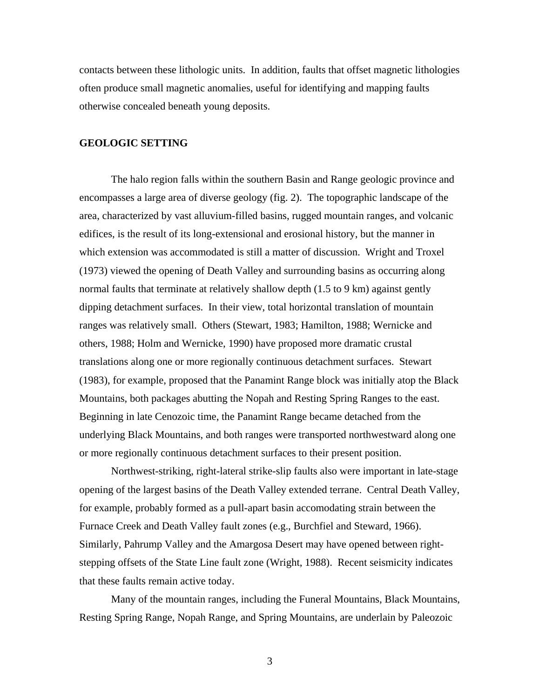contacts between these lithologic units. In addition, faults that offset magnetic lithologies often produce small magnetic anomalies, useful for identifying and mapping faults otherwise concealed beneath young deposits.

## **GEOLOGIC SETTING**

The halo region falls within the southern Basin and Range geologic province and encompasses a large area of diverse geology [\(fig. 2\).](http://geopubs.wr.usgs.gov/open-file/of00-189/fig2.pdf) The topographic landscape of the area, characterized by vast alluvium-filled basins, rugged mountain ranges, and volcanic edifices, is the result of its long-extensional and erosional history, but the manner in which extension was accommodated is still a matter of discussion. Wright and Troxel (1973) viewed the opening of Death Valley and surrounding basins as occurring along normal faults that terminate at relatively shallow depth (1.5 to 9 km) against gently dipping detachment surfaces. In their view, total horizontal translation of mountain ranges was relatively small. Others (Stewart, 1983; Hamilton, 1988; Wernicke and others, 1988; Holm and Wernicke, 1990) have proposed more dramatic crustal translations along one or more regionally continuous detachment surfaces. Stewart (1983), for example, proposed that the Panamint Range block was initially atop the Black Mountains, both packages abutting the Nopah and Resting Spring Ranges to the east. Beginning in late Cenozoic time, the Panamint Range became detached from the underlying Black Mountains, and both ranges were transported northwestward along one or more regionally continuous detachment surfaces to their present position.

Northwest-striking, right-lateral strike-slip faults also were important in late-stage opening of the largest basins of the Death Valley extended terrane. Central Death Valley, for example, probably formed as a pull-apart basin accomodating strain between the Furnace Creek and Death Valley fault zones (e.g., Burchfiel and Steward, 1966). Similarly, Pahrump Valley and the Amargosa Desert may have opened between rightstepping offsets of the State Line fault zone (Wright, 1988). Recent seismicity indicates that these faults remain active today.

Many of the mountain ranges, including the Funeral Mountains, Black Mountains, Resting Spring Range, Nopah Range, and Spring Mountains, are underlain by Paleozoic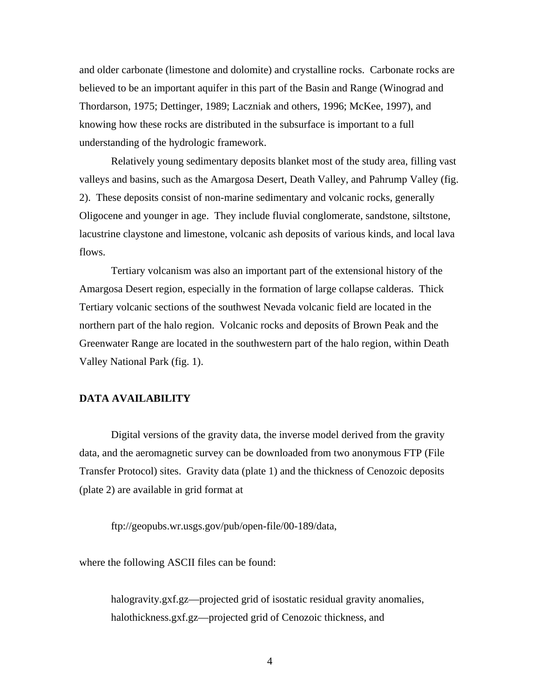and older carbonate (limestone and dolomite) and crystalline rocks. Carbonate rocks are believed to be an important aquifer in this part of the Basin and Range (Winograd and Thordarson, 1975; Dettinger, 1989; Laczniak and others, 1996; McKee, 1997), and knowing how these rocks are distributed in the subsurface is important to a full understanding of the hydrologic framework.

Relatively young sedimentary deposits blanket most of the study area, filling vast valleys and basins, such as the Amargosa Desert, Death Valley, and Pahrump Valley [\(fig.](http://geopubs.wr.usgs.gov/open-file/of00-189/fig2.pdf)  [2\).](http://geopubs.wr.usgs.gov/open-file/of00-189/fig2.pdf) These deposits consist of non-marine sedimentary and volcanic rocks, generally Oligocene and younger in age. They include fluvial conglomerate, sandstone, siltstone, lacustrine claystone and limestone, volcanic ash deposits of various kinds, and local lava flows.

Tertiary volcanism was also an important part of the extensional history of the Amargosa Desert region, especially in the formation of large collapse calderas. Thick Tertiary volcanic sections of the southwest Nevada volcanic field are located in the northern part of the halo region. Volcanic rocks and deposits of Brown Peak and the Greenwater Range are located in the southwestern part of the halo region, within Death Valley National Par[k \(fig. 1\).](http://geopubs.wr.usgs.gov/open-file/of00-189/fig1.pdf) 

## **DATA AVAILABILITY**

Digital versions of the gravity data, the inverse model derived from the gravity data, and the aeromagnetic survey can be downloaded from two anonymous FTP (File Transfer Protocol) sites. Gravity data [\(plate 1\) a](http://geopubs.wr.usgs.gov/open-file/of00-189/plate1.pdf)nd the thickness of Cenozoic deposits [\(plate 2\) a](http://geopubs.wr.usgs.gov/open-file/of00-189/plate2.pdf)re available in grid format at

ftp://geopubs.wr.usgs.gov/pub/open-file/00-189/data,

where the following ASCII files can be found:

halogravity.gxf.gz—projected grid of isostatic residual gravity anomalies, halothickness.gxf.gz—projected grid of Cenozoic thickness, and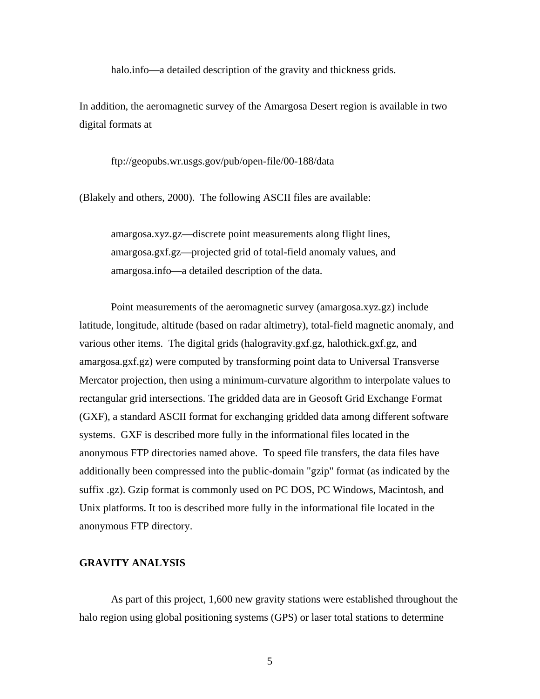halo.info—a detailed description of the gravity and thickness grids.

In addition, the aeromagnetic survey of the Amargosa Desert region is available in two digital formats at

ftp://geopubs.wr.usgs.gov/pub/open-file/00-188/data

(Blakely and others, 2000). The following ASCII files are available:

amargosa.xyz.gz—discrete point measurements along flight lines, amargosa.gxf.gz—projected grid of total-field anomaly values, and amargosa.info—a detailed description of the data.

Point measurements of the aeromagnetic survey (amargosa.xyz.gz) include latitude, longitude, altitude (based on radar altimetry), total-field magnetic anomaly, and various other items. The digital grids (halogravity.gxf.gz, halothick.gxf.gz, and amargosa.gxf.gz) were computed by transforming point data to Universal Transverse Mercator projection, then using a minimum-curvature algorithm to interpolate values to rectangular grid intersections. The gridded data are in Geosoft Grid Exchange Format (GXF), a standard ASCII format for exchanging gridded data among different software systems. GXF is described more fully in the informational files located in the anonymous FTP directories named above. To speed file transfers, the data files have additionally been compressed into the public-domain "gzip" format (as indicated by the suffix .gz). Gzip format is commonly used on PC DOS, PC Windows, Macintosh, and Unix platforms. It too is described more fully in the informational file located in the anonymous FTP directory.

## **GRAVITY ANALYSIS**

As part of this project, 1,600 new gravity stations were established throughout the halo region using global positioning systems (GPS) or laser total stations to determine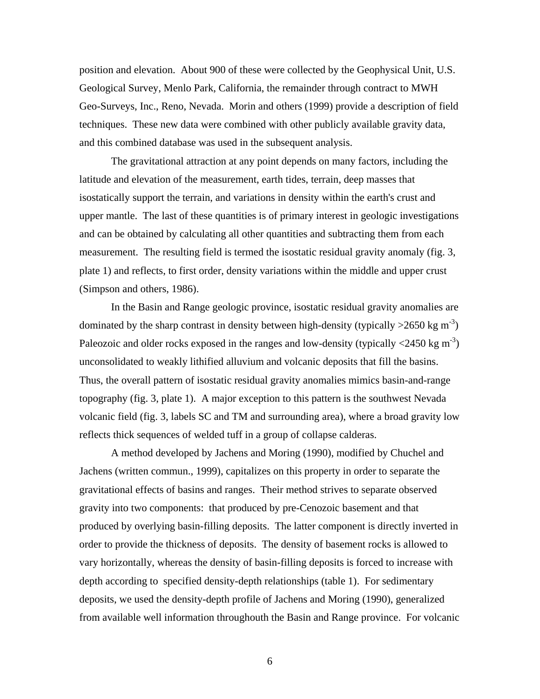position and elevation. About 900 of these were collected by the Geophysical Unit, U.S. Geological Survey, Menlo Park, California, the remainder through contract to MWH Geo-Surveys, Inc., Reno, Nevada. Morin and others (1999) provide a description of field techniques. These new data were combined with other publicly available gravity data, and this combined database was used in the subsequent analysis.

The gravitational attraction at any point depends on many factors, including the latitude and elevation of the measurement, earth tides, terrain, deep masses that isostatically support the terrain, and variations in density within the earth's crust and upper mantle. The last of these quantities is of primary interest in geologic investigations and can be obtained by calculating all other quantities and subtracting them from each measurement. The resulting field is termed the isostatic residual gravity anomaly [\(fig. 3,](http://geopubs.wr.usgs.gov/open-file/of00-189/fig3.pdf)  [plate 1\)](http://geopubs.wr.usgs.gov/open-file/of00-189/plate1.pdf) and reflects, to first order, density variations within the middle and upper crust (Simpson and others, 1986).

In the Basin and Range geologic province, isostatic residual gravity anomalies are dominated by the sharp contrast in density between high-density (typically  $>2650$  kg m<sup>-3</sup>) Paleozoic and older rocks exposed in the ranges and low-density (typically  $\langle 2450 \text{ kg m}^3 \rangle$ ) unconsolidated to weakly lithified alluvium and volcanic deposits that fill the basins. Thus, the overall pattern of isostatic residual gravity anomalies mimics basin-and-range topography [\(fig. 3](http://geopubs.wr.usgs.gov/open-file/of00-189/fig3.pdf), [plate 1\).](http://geopubs.wr.usgs.gov/open-file/of00-189/plate1.pdf) A major exception to this pattern is the southwest Nevada volcanic field [\(fig. 3,](http://geopubs.wr.usgs.gov/open-file/of00-189/fig3.pdf) labels SC and TM and surrounding area), where a broad gravity low reflects thick sequences of welded tuff in a group of collapse calderas.

A method developed by Jachens and Moring (1990), modified by Chuchel and Jachens (written commun., 1999), capitalizes on this property in order to separate the gravitational effects of basins and ranges. Their method strives to separate observed gravity into two components: that produced by pre-Cenozoic basement and that produced by overlying basin-filling deposits. The latter component is directly inverted in order to provide the thickness of deposits. The density of basement rocks is allowed to vary horizontally, whereas the density of basin-filling deposits is forced to increase with depth according to specified density-depth relationship[s \(table 1\).](#page-20-0) For sedimentary deposits, we used the density-depth profile of Jachens and Moring (1990), generalized from available well information throughouth the Basin and Range province. For volcanic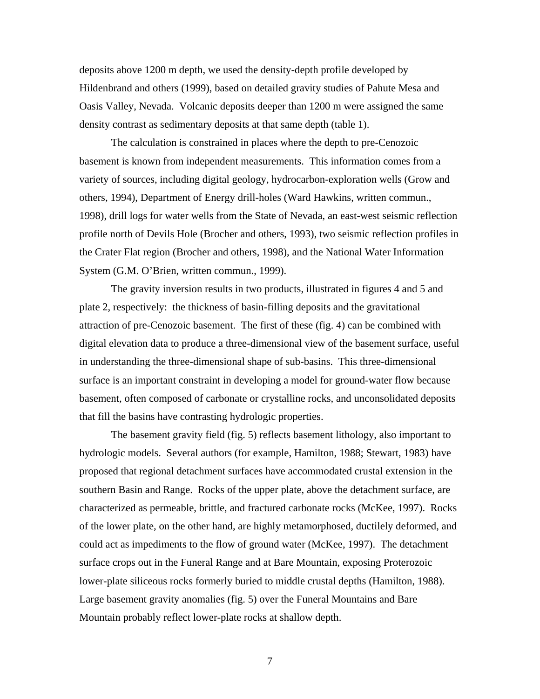deposits above 1200 m depth, we used the density-depth profile developed by Hildenbrand and others (1999), based on detailed gravity studies of Pahute Mesa and Oasis Valley, Nevada. Volcanic deposits deeper than 1200 m were assigned the same density contrast as sedimentary deposits at that same dept[h \(table 1\).](#page-20-0) 

The calculation is constrained in places where the depth to pre-Cenozoic basement is known from independent measurements. This information comes from a variety of sources, including digital geology, hydrocarbon-exploration wells (Grow and others, 1994), Department of Energy drill-holes (Ward Hawkins, written commun., 1998), drill logs for water wells from the State of Nevada, an east-west seismic reflection profile north of Devils Hole (Brocher and others, 1993), two seismic reflection profiles in the Crater Flat region (Brocher and others, 1998), and the National Water Information System (G.M. O'Brien, written commun., 1999).

The gravity inversion results in two products, illustrated i[n figures 4](http://geopubs.wr.usgs.gov/open-file/of00-189/fig4.pdf) an[d 5 an](http://geopubs.wr.usgs.gov/open-file/of00-189/fig5.pdf)d [plate 2, r](http://geopubs.wr.usgs.gov/open-file/of00-189/plate2.pdf)espectively: the thickness of basin-filling deposits and the gravitational attraction of pre-Cenozoic basement. The first of thes[e \(fig. 4\) c](http://geopubs.wr.usgs.gov/open-file/of00-189/fig4.pdf)an be combined with digital elevation data to produce a three-dimensional view of the basement surface, useful in understanding the three-dimensional shape of sub-basins. This three-dimensional surface is an important constraint in developing a model for ground-water flow because basement, often composed of carbonate or crystalline rocks, and unconsolidated deposits that fill the basins have contrasting hydrologic properties.

The basement gravity fie[ld \(fig. 5\) r](http://geopubs.wr.usgs.gov/open-file/of00-189/fig5.pdf)eflects basement lithology, also important to hydrologic models. Several authors (for example, Hamilton, 1988; Stewart, 1983) have proposed that regional detachment surfaces have accommodated crustal extension in the southern Basin and Range. Rocks of the upper plate, above the detachment surface, are characterized as permeable, brittle, and fractured carbonate rocks (McKee, 1997). Rocks of the lower plate, on the other hand, are highly metamorphosed, ductilely deformed, and could act as impediments to the flow of ground water (McKee, 1997). The detachment surface crops out in the Funeral Range and at Bare Mountain, exposing Proterozoic lower-plate siliceous rocks formerly buried to middle crustal depths (Hamilton, 1988). Large basement gravity anomalie[s \(fig. 5\) o](http://geopubs.wr.usgs.gov/open-file/of00-189/fig5.pdf)ver the Funeral Mountains and Bare Mountain probably reflect lower-plate rocks at shallow depth.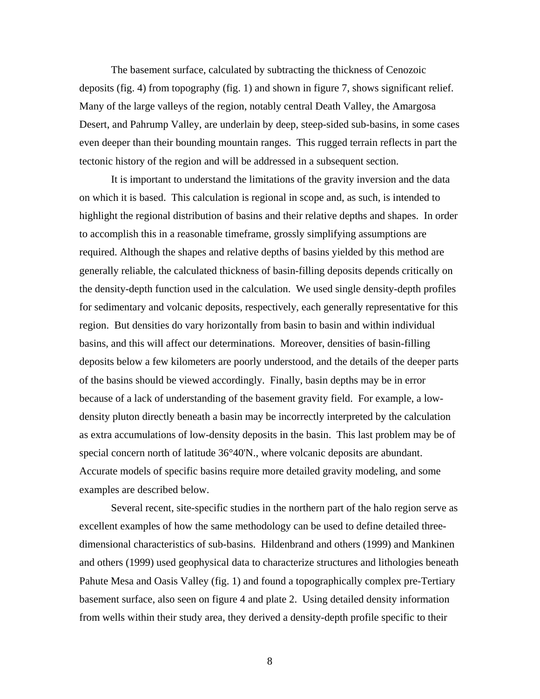The basement surface, calculated by subtracting the thickness of Cenozoic deposi[ts \(fig. 4\) f](http://geopubs.wr.usgs.gov/open-file/of00-189/fig4.pdf)rom topography [\(fig. 1\) a](http://geopubs.wr.usgs.gov/open-file/of00-189/fig1.pdf)nd shown i[n figure 7, s](http://geopubs.wr.usgs.gov/open-file/of00-189/fig7.pdf)hows significant relief. Many of the large valleys of the region, notably central Death Valley, the Amargosa Desert, and Pahrump Valley, are underlain by deep, steep-sided sub-basins, in some cases even deeper than their bounding mountain ranges. This rugged terrain reflects in part the tectonic history of the region and will be addressed in a subsequent section.

It is important to understand the limitations of the gravity inversion and the data on which it is based. This calculation is regional in scope and, as such, is intended to highlight the regional distribution of basins and their relative depths and shapes. In order to accomplish this in a reasonable timeframe, grossly simplifying assumptions are required. Although the shapes and relative depths of basins yielded by this method are generally reliable, the calculated thickness of basin-filling deposits depends critically on the density-depth function used in the calculation. We used single density-depth profiles for sedimentary and volcanic deposits, respectively, each generally representative for this region. But densities do vary horizontally from basin to basin and within individual basins, and this will affect our determinations. Moreover, densities of basin-filling deposits below a few kilometers are poorly understood, and the details of the deeper parts of the basins should be viewed accordingly. Finally, basin depths may be in error because of a lack of understanding of the basement gravity field. For example, a lowdensity pluton directly beneath a basin may be incorrectly interpreted by the calculation as extra accumulations of low-density deposits in the basin. This last problem may be of special concern north of latitude 36°40'N., where volcanic deposits are abundant. Accurate models of specific basins require more detailed gravity modeling, and some examples are described below.

Several recent, site-specific studies in the northern part of the halo region serve as excellent examples of how the same methodology can be used to define detailed threedimensional characteristics of sub-basins. Hildenbrand and others (1999) and Mankinen and others (1999) used geophysical data to characterize structures and lithologies beneath Pahute Mesa and Oasis Valle[y \(fig. 1\) a](http://geopubs.wr.usgs.gov/open-file/of00-189/fig1.pdf)nd found a topographically complex pre-Tertiary basement surface, also seen on [figure 4 an](http://geopubs.wr.usgs.gov/open-file/of00-189/fig4.pdf)[d plate 2.](http://geopubs.wr.usgs.gov/open-file/of00-189/plate2.pdf) Using detailed density information from wells within their study area, they derived a density-depth profile specific to their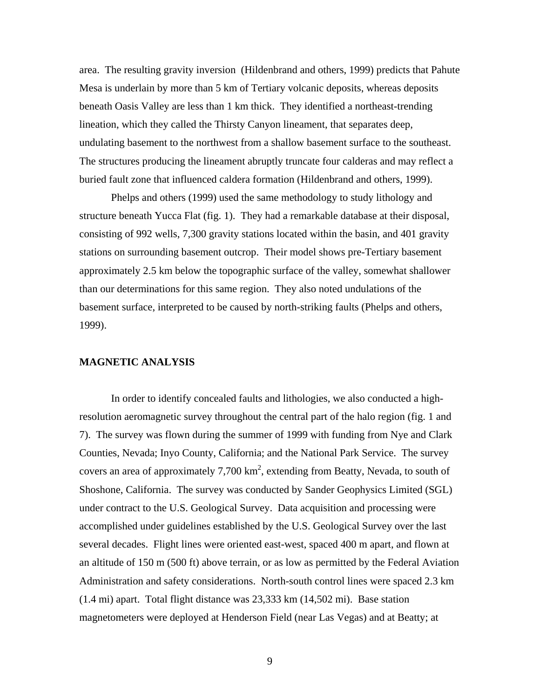area. The resulting gravity inversion (Hildenbrand and others, 1999) predicts that Pahute Mesa is underlain by more than 5 km of Tertiary volcanic deposits, whereas deposits beneath Oasis Valley are less than 1 km thick. They identified a northeast-trending lineation, which they called the Thirsty Canyon lineament, that separates deep, undulating basement to the northwest from a shallow basement surface to the southeast. The structures producing the lineament abruptly truncate four calderas and may reflect a buried fault zone that influenced caldera formation (Hildenbrand and others, 1999).

Phelps and others (1999) used the same methodology to study lithology and structure beneath Yucca Flat [\(fig. 1\). T](http://geopubs.wr.usgs.gov/open-file/of00-189/fig1.pdf)hey had a remarkable database at their disposal, consisting of 992 wells, 7,300 gravity stations located within the basin, and 401 gravity stations on surrounding basement outcrop. Their model shows pre-Tertiary basement approximately 2.5 km below the topographic surface of the valley, somewhat shallower than our determinations for this same region. They also noted undulations of the basement surface, interpreted to be caused by north-striking faults (Phelps and others, 1999).

## **MAGNETIC ANALYSIS**

In order to identify concealed faults and lithologies, we also conducted a highresolution aeromagnetic survey throughout the central part of the halo regio[n \(fig. 1 a](http://geopubs.wr.usgs.gov/open-file/of00-189/fig1.pdf)nd [7\).](http://geopubs.wr.usgs.gov/open-file/of00-189/fig7.pdf) The survey was flown during the summer of 1999 with funding from Nye and Clark Counties, Nevada; Inyo County, California; and the National Park Service. The survey covers an area of approximately 7,700  $km^2$ , extending from Beatty, Nevada, to south of Shoshone, California. The survey was conducted by Sander Geophysics Limited (SGL) under contract to the U.S. Geological Survey. Data acquisition and processing were accomplished under guidelines established by the U.S. Geological Survey over the last several decades. Flight lines were oriented east-west, spaced 400 m apart, and flown at an altitude of 150 m (500 ft) above terrain, or as low as permitted by the Federal Aviation Administration and safety considerations. North-south control lines were spaced 2.3 km (1.4 mi) apart. Total flight distance was 23,333 km (14,502 mi). Base station magnetometers were deployed at Henderson Field (near Las Vegas) and at Beatty; at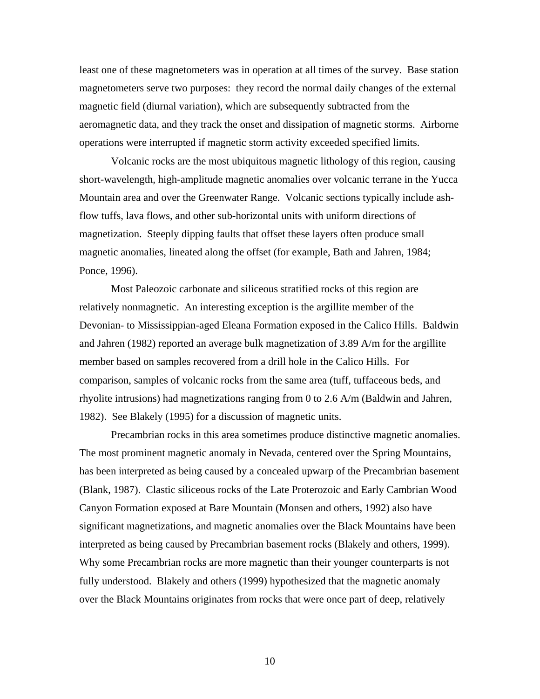least one of these magnetometers was in operation at all times of the survey. Base station magnetometers serve two purposes: they record the normal daily changes of the external magnetic field (diurnal variation), which are subsequently subtracted from the aeromagnetic data, and they track the onset and dissipation of magnetic storms. Airborne operations were interrupted if magnetic storm activity exceeded specified limits.

Volcanic rocks are the most ubiquitous magnetic lithology of this region, causing short-wavelength, high-amplitude magnetic anomalies over volcanic terrane in the Yucca Mountain area and over the Greenwater Range. Volcanic sections typically include ashflow tuffs, lava flows, and other sub-horizontal units with uniform directions of magnetization. Steeply dipping faults that offset these layers often produce small magnetic anomalies, lineated along the offset (for example, Bath and Jahren, 1984; Ponce, 1996).

Most Paleozoic carbonate and siliceous stratified rocks of this region are relatively nonmagnetic. An interesting exception is the argillite member of the Devonian- to Mississippian-aged Eleana Formation exposed in the Calico Hills. Baldwin and Jahren (1982) reported an average bulk magnetization of 3.89 A/m for the argillite member based on samples recovered from a drill hole in the Calico Hills. For comparison, samples of volcanic rocks from the same area (tuff, tuffaceous beds, and rhyolite intrusions) had magnetizations ranging from 0 to 2.6 A/m (Baldwin and Jahren, 1982). See Blakely (1995) for a discussion of magnetic units.

Precambrian rocks in this area sometimes produce distinctive magnetic anomalies. The most prominent magnetic anomaly in Nevada, centered over the Spring Mountains, has been interpreted as being caused by a concealed upwarp of the Precambrian basement (Blank, 1987). Clastic siliceous rocks of the Late Proterozoic and Early Cambrian Wood Canyon Formation exposed at Bare Mountain (Monsen and others, 1992) also have significant magnetizations, and magnetic anomalies over the Black Mountains have been interpreted as being caused by Precambrian basement rocks (Blakely and others, 1999). Why some Precambrian rocks are more magnetic than their younger counterparts is not fully understood. Blakely and others (1999) hypothesized that the magnetic anomaly over the Black Mountains originates from rocks that were once part of deep, relatively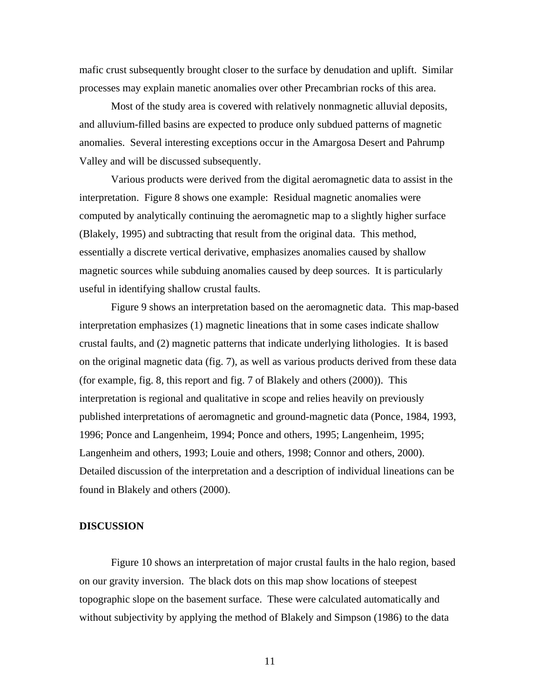mafic crust subsequently brought closer to the surface by denudation and uplift. Similar processes may explain manetic anomalies over other Precambrian rocks of this area.

Most of the study area is covered with relatively nonmagnetic alluvial deposits, and alluvium-filled basins are expected to produce only subdued patterns of magnetic anomalies. Several interesting exceptions occur in the Amargosa Desert and Pahrump Valley and will be discussed subsequently.

Various products were derived from the digital aeromagnetic data to assist in the interpretation. [Figure 8 s](http://geopubs.wr.usgs.gov/open-file/of00-189/fig8.pdf)hows one example: Residual magnetic anomalies were computed by analytically continuing the aeromagnetic map to a slightly higher surface (Blakely, 1995) and subtracting that result from the original data. This method, essentially a discrete vertical derivative, emphasizes anomalies caused by shallow magnetic sources while subduing anomalies caused by deep sources. It is particularly useful in identifying shallow crustal faults.

[Figure 9 s](http://geopubs.wr.usgs.gov/open-file/of00-189/fig9.pdf)hows an interpretation based on the aeromagnetic data. This map-based interpretation emphasizes (1) magnetic lineations that in some cases indicate shallow crustal faults, and (2) magnetic patterns that indicate underlying lithologies. It is based on the original magnetic dat[a \(fig. 7\), as](http://geopubs.wr.usgs.gov/open-file/of00-189/fig7.pdf) well as various products derived from these data (for exampl[e, fig. 8, th](http://geopubs.wr.usgs.gov/open-file/of00-189/fig8.pdf)is report and fig. 7 of Blakely and others (2000)). This interpretation is regional and qualitative in scope and relies heavily on previously published interpretations of aeromagnetic and ground-magnetic data (Ponce, 1984, 1993, 1996; Ponce and Langenheim, 1994; Ponce and others, 1995; Langenheim, 1995; Langenheim and others, 1993; Louie and others, 1998; Connor and others, 2000). Detailed discussion of the interpretation and a description of individual lineations can be found in Blakely and others (2000).

## **DISCUSSION**

[Figure 10 s](http://geopubs.wr.usgs.gov/open-file/of00-189/fig10.pdf)hows an interpretation of major crustal faults in the halo region, based on our gravity inversion. The black dots on this map show locations of steepest topographic slope on the basement surface. These were calculated automatically and without subjectivity by applying the method of Blakely and Simpson (1986) to the data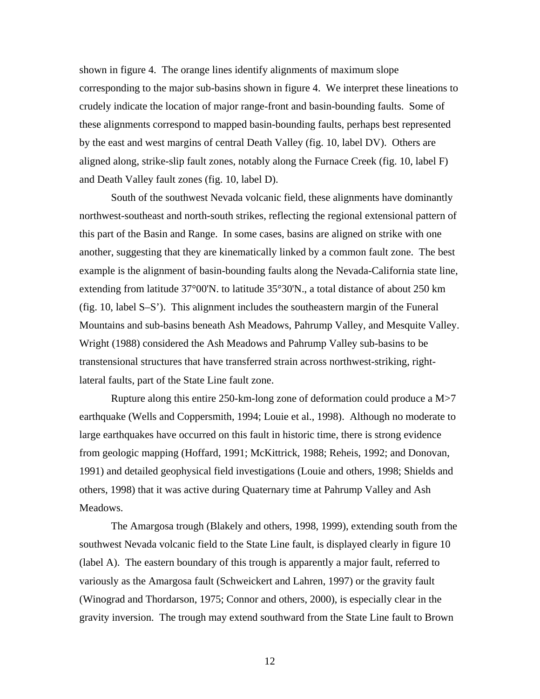shown in [figure 4.](http://geopubs.wr.usgs.gov/open-file/of00-189/fig4.pdf) The orange lines identify alignments of maximum slope corresponding to the major sub-basins shown in [figure 4.](http://geopubs.wr.usgs.gov/open-file/of00-189/fig4.pdf) We interpret these lineations to crudely indicate the location of major range-front and basin-bounding faults. Some of these alignments correspond to mapped basin-bounding faults, perhaps best represented by the east and west margins of central Death Valley [\(fig. 10, l](http://geopubs.wr.usgs.gov/open-file/of00-189/fig10.pdf)abel DV). Others are aligned along, strike-slip fault zones, notably along the Furnace Creek [\(fig. 10,](http://geopubs.wr.usgs.gov/open-file/of00-189/fig10.pdf) label F) and Death Valley fault zones [\(fig. 10, label D\).](http://geopubs.wr.usgs.gov/open-file/of00-189/fig10.pdf)

South of the southwest Nevada volcanic field, these alignments have dominantly northwest-southeast and north-south strikes, reflecting the regional extensional pattern of this part of the Basin and Range. In some cases, basins are aligned on strike with one another, suggesting that they are kinematically linked by a common fault zone. The best example is the alignment of basin-bounding faults along the Nevada-California state line, extending from latitude 37°00'N. to latitude 35°30'N., a total distance of about 250 km [\(fig. 10,](http://geopubs.wr.usgs.gov/open-file/of00-189/fig10.pdf) label S–S'). This alignment includes the southeastern margin of the Funeral Mountains and sub-basins beneath Ash Meadows, Pahrump Valley, and Mesquite Valley. Wright (1988) considered the Ash Meadows and Pahrump Valley sub-basins to be transtensional structures that have transferred strain across northwest-striking, rightlateral faults, part of the State Line fault zone.

Rupture along this entire 250-km-long zone of deformation could produce a M>7 earthquake (Wells and Coppersmith, 1994; Louie et al., 1998). Although no moderate to large earthquakes have occurred on this fault in historic time, there is strong evidence from geologic mapping (Hoffard, 1991; McKittrick, 1988; Reheis, 1992; and Donovan, 1991) and detailed geophysical field investigations (Louie and others, 1998; Shields and others, 1998) that it was active during Quaternary time at Pahrump Valley and Ash Meadows.

The Amargosa trough (Blakely and others, 1998, 1999), extending south from the southwest Nevada volcanic field to the State Line fault, is displayed clearly in [figure 10](http://geopubs.wr.usgs.gov/open-file/of00-189/fig10.pdf)  (label A). The eastern boundary of this trough is apparently a major fault, referred to variously as the Amargosa fault (Schweickert and Lahren, 1997) or the gravity fault (Winograd and Thordarson, 1975; Connor and others, 2000), is especially clear in the gravity inversion. The trough may extend southward from the State Line fault to Brown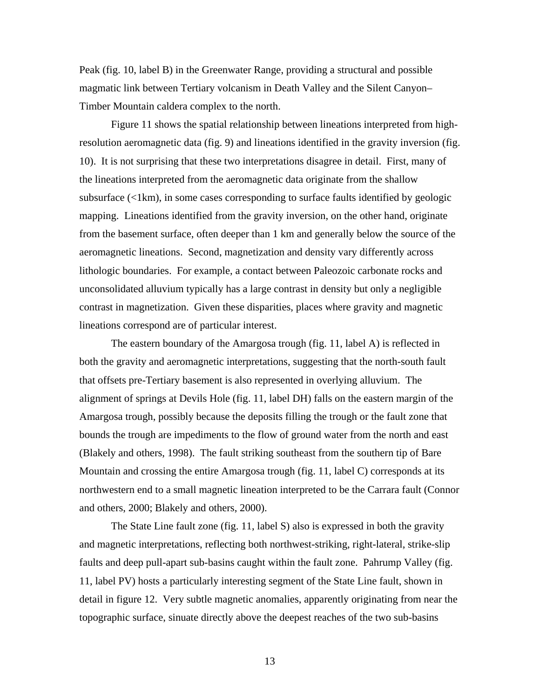Peak [\(fig. 10, label B\) i](http://geopubs.wr.usgs.gov/open-file/of00-189/fig10.pdf)n the Greenwater Range, providing a structural and possible magmatic link between Tertiary volcanism in Death Valley and the Silent Canyon– Timber Mountain caldera complex to the north.

[Figure 11 s](http://geopubs.wr.usgs.gov/open-file/of00-189/fig11.pdf)hows the spatial relationship between lineations interpreted from highresolution aeromagnetic data [\(fig. 9\)](http://geopubs.wr.usgs.gov/open-file/of00-189/fig9.pdf) and lineations identified in the gravity inversion (fig. [10\). I](http://geopubs.wr.usgs.gov/open-file/of00-189/fig10.pdf)t is not surprising that these two interpretations disagree in detail. First, many of the lineations interpreted from the aeromagnetic data originate from the shallow subsurface  $\ll$ 1km), in some cases corresponding to surface faults identified by geologic mapping. Lineations identified from the gravity inversion, on the other hand, originate from the basement surface, often deeper than 1 km and generally below the source of the aeromagnetic lineations. Second, magnetization and density vary differently across lithologic boundaries. For example, a contact between Paleozoic carbonate rocks and unconsolidated alluvium typically has a large contrast in density but only a negligible contrast in magnetization. Given these disparities, places where gravity and magnetic lineations correspond are of particular interest.

The eastern boundary of the Amargosa trough [\(fig. 11, label A\) is](http://geopubs.wr.usgs.gov/open-file/of00-189/fig11.pdf) reflected in both the gravity and aeromagnetic interpretations, suggesting that the north-south fault that offsets pre-Tertiary basement is also represented in overlying alluvium. The alignment of springs at Devils Hole [\(fig. 11, label DH\) f](http://geopubs.wr.usgs.gov/open-file/of00-189/fig11.pdf)alls on the eastern margin of the Amargosa trough, possibly because the deposits filling the trough or the fault zone that bounds the trough are impediments to the flow of ground water from the north and east (Blakely and others, 1998). The fault striking southeast from the southern tip of Bare Mountain and crossing the entire Amargosa trough [\(fig. 11, label C\) co](http://geopubs.wr.usgs.gov/open-file/of00-189/fig11.pdf)rresponds at its northwestern end to a small magnetic lineation interpreted to be the Carrara fault (Connor and others, 2000; Blakely and others, 2000).

The State Line fault zone [\(fig. 11, label S\) al](http://geopubs.wr.usgs.gov/open-file/of00-189/fig11.pdf)so is expressed in both the gravity and magnetic interpretations, reflecting both northwest-striking, right-lateral, strike-slip faults and deep pull-apart sub-basins caught within the fault zone. Pahrump Valley (fig. [11, label PV\)](http://geopubs.wr.usgs.gov/open-file/of00-189/fig11.pdf) hosts a particularly interesting segment of the State Line fault, shown in detail i[n figure 12. Ve](http://geopubs.wr.usgs.gov/open-file/of00-189/fig12.pdf)ry subtle magnetic anomalies, apparently originating from near the topographic surface, sinuate directly above the deepest reaches of the two sub-basins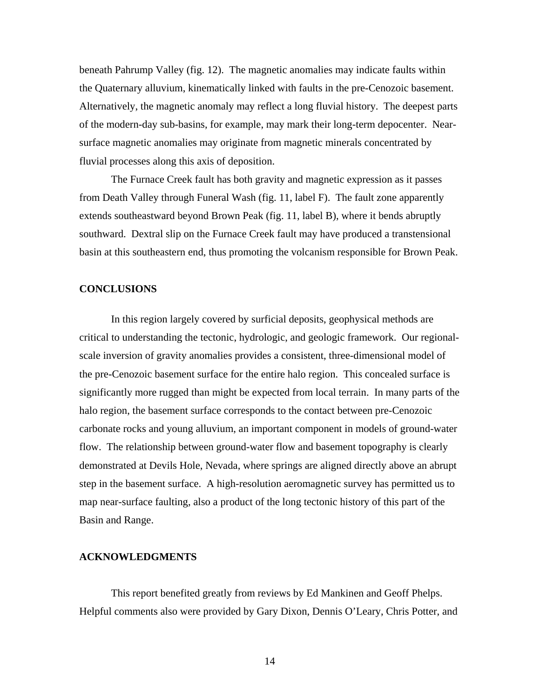beneath Pahrump Valle[y \(fig. 12\).](http://geopubs.wr.usgs.gov/open-file/of00-189/fig12.pdf) The magnetic anomalies may indicate faults within the Quaternary alluvium, kinematically linked with faults in the pre-Cenozoic basement. Alternatively, the magnetic anomaly may reflect a long fluvial history. The deepest parts of the modern-day sub-basins, for example, may mark their long-term depocenter. Nearsurface magnetic anomalies may originate from magnetic minerals concentrated by fluvial processes along this axis of deposition.

The Furnace Creek fault has both gravity and magnetic expression as it passes from Death Valley through Funeral Wash [\(fig. 11, label F\). T](http://geopubs.wr.usgs.gov/open-file/of00-189/fig11.pdf)he fault zone apparently extends southeastward beyond Brown Pea[k \(fig. 11, label B\), wh](http://geopubs.wr.usgs.gov/open-file/of00-189/fig11.pdf)ere it bends abruptly southward. Dextral slip on the Furnace Creek fault may have produced a transtensional basin at this southeastern end, thus promoting the volcanism responsible for Brown Peak.

### **CONCLUSIONS**

In this region largely covered by surficial deposits, geophysical methods are critical to understanding the tectonic, hydrologic, and geologic framework. Our regionalscale inversion of gravity anomalies provides a consistent, three-dimensional model of the pre-Cenozoic basement surface for the entire halo region. This concealed surface is significantly more rugged than might be expected from local terrain. In many parts of the halo region, the basement surface corresponds to the contact between pre-Cenozoic carbonate rocks and young alluvium, an important component in models of ground-water flow. The relationship between ground-water flow and basement topography is clearly demonstrated at Devils Hole, Nevada, where springs are aligned directly above an abrupt step in the basement surface. A high-resolution aeromagnetic survey has permitted us to map near-surface faulting, also a product of the long tectonic history of this part of the Basin and Range.

### **ACKNOWLEDGMENTS**

This report benefited greatly from reviews by Ed Mankinen and Geoff Phelps. Helpful comments also were provided by Gary Dixon, Dennis O'Leary, Chris Potter, and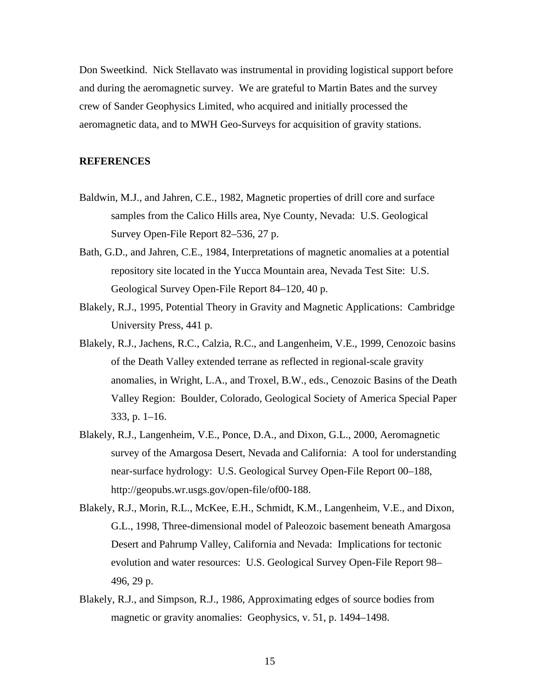Don Sweetkind. Nick Stellavato was instrumental in providing logistical support before and during the aeromagnetic survey. We are grateful to Martin Bates and the survey crew of Sander Geophysics Limited, who acquired and initially processed the aeromagnetic data, and to MWH Geo-Surveys for acquisition of gravity stations.

#### **REFERENCES**

- Baldwin, M.J., and Jahren, C.E., 1982, Magnetic properties of drill core and surface samples from the Calico Hills area, Nye County, Nevada: U.S. Geological Survey Open-File Report 82–536, 27 p.
- Bath, G.D., and Jahren, C.E., 1984, Interpretations of magnetic anomalies at a potential repository site located in the Yucca Mountain area, Nevada Test Site: U.S. Geological Survey Open-File Report 84–120, 40 p.
- Blakely, R.J., 1995, Potential Theory in Gravity and Magnetic Applications: Cambridge University Press, 441 p.
- Blakely, R.J., Jachens, R.C., Calzia, R.C., and Langenheim, V.E., 1999, Cenozoic basins of the Death Valley extended terrane as reflected in regional-scale gravity anomalies, in Wright, L.A., and Troxel, B.W., eds., Cenozoic Basins of the Death Valley Region: Boulder, Colorado, Geological Society of America Special Paper 333, p. 1–16.
- Blakely, R.J., Langenheim, V.E., Ponce, D.A., and Dixon, G.L., 2000, Aeromagnetic survey of the Amargosa Desert, Nevada and California: A tool for understanding near-surface hydrology: U.S. Geological Survey Open-File Report 00–188, http://geopubs.wr.usgs.gov/open-file/of00-188.
- Blakely, R.J., Morin, R.L., McKee, E.H., Schmidt, K.M., Langenheim, V.E., and Dixon, G.L., 1998, Three-dimensional model of Paleozoic basement beneath Amargosa Desert and Pahrump Valley, California and Nevada: Implications for tectonic evolution and water resources: U.S. Geological Survey Open-File Report 98– 496, 29 p.
- Blakely, R.J., and Simpson, R.J., 1986, Approximating edges of source bodies from magnetic or gravity anomalies: Geophysics, v. 51, p. 1494–1498.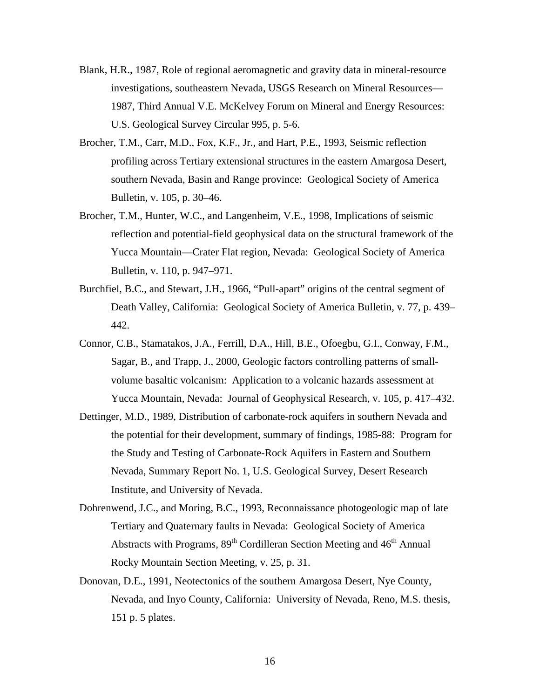- Blank, H.R., 1987, Role of regional aeromagnetic and gravity data in mineral-resource investigations, southeastern Nevada, USGS Research on Mineral Resources— 1987, Third Annual V.E. McKelvey Forum on Mineral and Energy Resources: U.S. Geological Survey Circular 995, p. 5-6.
- Brocher, T.M., Carr, M.D., Fox, K.F., Jr., and Hart, P.E., 1993, Seismic reflection profiling across Tertiary extensional structures in the eastern Amargosa Desert, southern Nevada, Basin and Range province: Geological Society of America Bulletin, v. 105, p. 30–46.
- Brocher, T.M., Hunter, W.C., and Langenheim, V.E., 1998, Implications of seismic reflection and potential-field geophysical data on the structural framework of the Yucca Mountain—Crater Flat region, Nevada: Geological Society of America Bulletin, v. 110, p. 947–971.
- Burchfiel, B.C., and Stewart, J.H., 1966, "Pull-apart" origins of the central segment of Death Valley, California: Geological Society of America Bulletin, v. 77, p. 439– 442.
- Connor, C.B., Stamatakos, J.A., Ferrill, D.A., Hill, B.E., Ofoegbu, G.I., Conway, F.M., Sagar, B., and Trapp, J., 2000, Geologic factors controlling patterns of smallvolume basaltic volcanism: Application to a volcanic hazards assessment at Yucca Mountain, Nevada: Journal of Geophysical Research, v. 105, p. 417–432.
- Dettinger, M.D., 1989, Distribution of carbonate-rock aquifers in southern Nevada and the potential for their development, summary of findings, 1985-88: Program for the Study and Testing of Carbonate-Rock Aquifers in Eastern and Southern Nevada, Summary Report No. 1, U.S. Geological Survey, Desert Research Institute, and University of Nevada.
- Dohrenwend, J.C., and Moring, B.C., 1993, Reconnaissance photogeologic map of late Tertiary and Quaternary faults in Nevada: Geological Society of America Abstracts with Programs,  $89<sup>th</sup>$  Cordilleran Section Meeting and  $46<sup>th</sup>$  Annual Rocky Mountain Section Meeting, v. 25, p. 31.
- Donovan, D.E., 1991, Neotectonics of the southern Amargosa Desert, Nye County, Nevada, and Inyo County, California: University of Nevada, Reno, M.S. thesis, 151 p. 5 plates.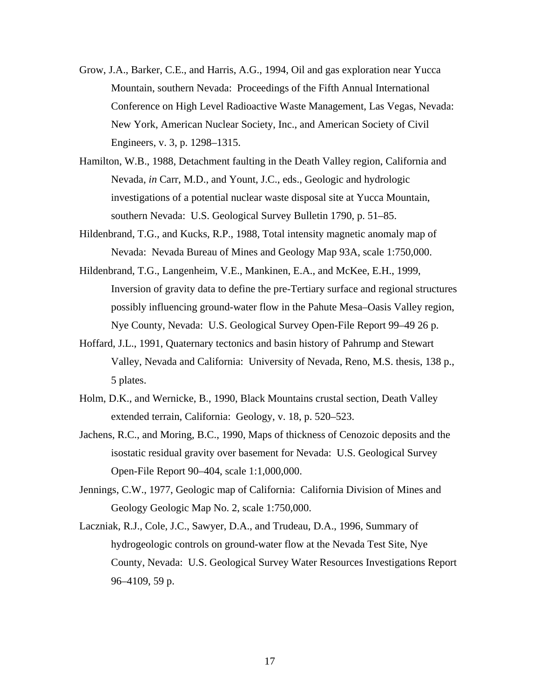- Grow, J.A., Barker, C.E., and Harris, A.G., 1994, Oil and gas exploration near Yucca Mountain, southern Nevada: Proceedings of the Fifth Annual International Conference on High Level Radioactive Waste Management, Las Vegas, Nevada: New York, American Nuclear Society, Inc., and American Society of Civil Engineers, v. 3, p. 1298–1315.
- Hamilton, W.B., 1988, Detachment faulting in the Death Valley region, California and Nevada, *in* Carr, M.D., and Yount, J.C., eds., Geologic and hydrologic investigations of a potential nuclear waste disposal site at Yucca Mountain, southern Nevada: U.S. Geological Survey Bulletin 1790, p. 51–85.
- Hildenbrand, T.G., and Kucks, R.P., 1988, Total intensity magnetic anomaly map of Nevada: Nevada Bureau of Mines and Geology Map 93A, scale 1:750,000.
- Hildenbrand, T.G., Langenheim, V.E., Mankinen, E.A., and McKee, E.H., 1999, Inversion of gravity data to define the pre-Tertiary surface and regional structures possibly influencing ground-water flow in the Pahute Mesa–Oasis Valley region, Nye County, Nevada: U.S. Geological Survey Open-File Report 99–49 26 p.
- Hoffard, J.L., 1991, Quaternary tectonics and basin history of Pahrump and Stewart Valley, Nevada and California: University of Nevada, Reno, M.S. thesis, 138 p., 5 plates.
- Holm, D.K., and Wernicke, B., 1990, Black Mountains crustal section, Death Valley extended terrain, California: Geology, v. 18, p. 520–523.
- Jachens, R.C., and Moring, B.C., 1990, Maps of thickness of Cenozoic deposits and the isostatic residual gravity over basement for Nevada: U.S. Geological Survey Open-File Report 90–404, scale 1:1,000,000.
- Jennings, C.W., 1977, Geologic map of California: California Division of Mines and Geology Geologic Map No. 2, scale 1:750,000.
- Laczniak, R.J., Cole, J.C., Sawyer, D.A., and Trudeau, D.A., 1996, Summary of hydrogeologic controls on ground-water flow at the Nevada Test Site, Nye County, Nevada: U.S. Geological Survey Water Resources Investigations Report 96–4109, 59 p.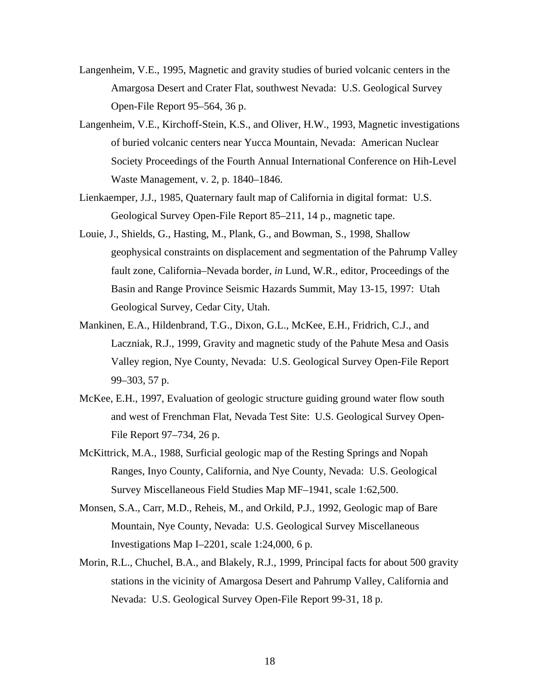- Langenheim, V.E., 1995, Magnetic and gravity studies of buried volcanic centers in the Amargosa Desert and Crater Flat, southwest Nevada: U.S. Geological Survey Open-File Report 95–564, 36 p.
- Langenheim, V.E., Kirchoff-Stein, K.S., and Oliver, H.W., 1993, Magnetic investigations of buried volcanic centers near Yucca Mountain, Nevada: American Nuclear Society Proceedings of the Fourth Annual International Conference on Hih-Level Waste Management, v. 2, p. 1840–1846.
- Lienkaemper, J.J., 1985, Quaternary fault map of California in digital format: U.S. Geological Survey Open-File Report 85–211, 14 p., magnetic tape.
- Louie, J., Shields, G., Hasting, M., Plank, G., and Bowman, S., 1998, Shallow geophysical constraints on displacement and segmentation of the Pahrump Valley fault zone, California–Nevada border, *in* Lund, W.R., editor, Proceedings of the Basin and Range Province Seismic Hazards Summit, May 13-15, 1997: Utah Geological Survey, Cedar City, Utah.
- Mankinen, E.A., Hildenbrand, T.G., Dixon, G.L., McKee, E.H., Fridrich, C.J., and Laczniak, R.J., 1999, Gravity and magnetic study of the Pahute Mesa and Oasis Valley region, Nye County, Nevada: U.S. Geological Survey Open-File Report 99–303, 57 p.
- McKee, E.H., 1997, Evaluation of geologic structure guiding ground water flow south and west of Frenchman Flat, Nevada Test Site: U.S. Geological Survey Open-File Report 97–734, 26 p.
- McKittrick, M.A., 1988, Surficial geologic map of the Resting Springs and Nopah Ranges, Inyo County, California, and Nye County, Nevada: U.S. Geological Survey Miscellaneous Field Studies Map MF–1941, scale 1:62,500.
- Monsen, S.A., Carr, M.D., Reheis, M., and Orkild, P.J., 1992, Geologic map of Bare Mountain, Nye County, Nevada: U.S. Geological Survey Miscellaneous Investigations Map I–2201, scale 1:24,000, 6 p.
- Morin, R.L., Chuchel, B.A., and Blakely, R.J., 1999, Principal facts for about 500 gravity stations in the vicinity of Amargosa Desert and Pahrump Valley, California and Nevada: U.S. Geological Survey Open-File Report 99-31, 18 p.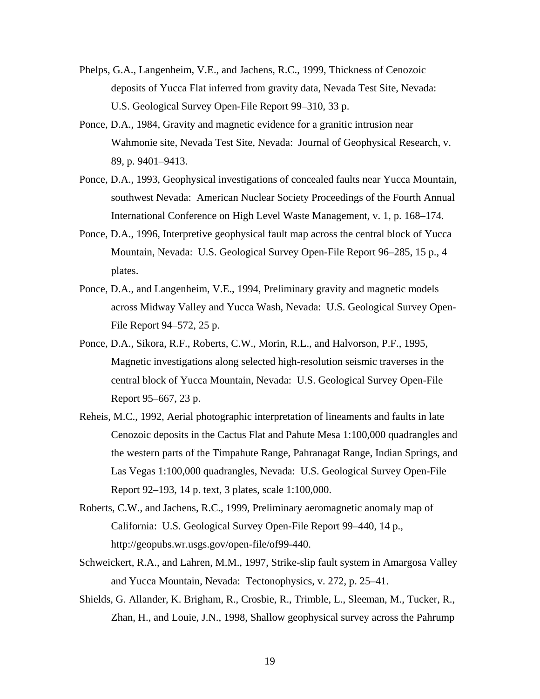- Phelps, G.A., Langenheim, V.E., and Jachens, R.C., 1999, Thickness of Cenozoic deposits of Yucca Flat inferred from gravity data, Nevada Test Site, Nevada: U.S. Geological Survey Open-File Report 99–310, 33 p.
- Ponce, D.A., 1984, Gravity and magnetic evidence for a granitic intrusion near Wahmonie site, Nevada Test Site, Nevada: Journal of Geophysical Research, v. 89, p. 9401–9413.
- Ponce, D.A., 1993, Geophysical investigations of concealed faults near Yucca Mountain, southwest Nevada: American Nuclear Society Proceedings of the Fourth Annual International Conference on High Level Waste Management, v. 1, p. 168–174.
- Ponce, D.A., 1996, Interpretive geophysical fault map across the central block of Yucca Mountain, Nevada: U.S. Geological Survey Open-File Report 96–285, 15 p., 4 plates.
- Ponce, D.A., and Langenheim, V.E., 1994, Preliminary gravity and magnetic models across Midway Valley and Yucca Wash, Nevada: U.S. Geological Survey Open-File Report 94–572, 25 p.
- Ponce, D.A., Sikora, R.F., Roberts, C.W., Morin, R.L., and Halvorson, P.F., 1995, Magnetic investigations along selected high-resolution seismic traverses in the central block of Yucca Mountain, Nevada: U.S. Geological Survey Open-File Report 95–667, 23 p.
- Reheis, M.C., 1992, Aerial photographic interpretation of lineaments and faults in late Cenozoic deposits in the Cactus Flat and Pahute Mesa 1:100,000 quadrangles and the western parts of the Timpahute Range, Pahranagat Range, Indian Springs, and Las Vegas 1:100,000 quadrangles, Nevada: U.S. Geological Survey Open-File Report 92–193, 14 p. text, 3 plates, scale 1:100,000.
- Roberts, C.W., and Jachens, R.C., 1999, Preliminary aeromagnetic anomaly map of California: U.S. Geological Survey Open-File Report 99–440, 14 p., http://geopubs.wr.usgs.gov/open-file/of99-440.
- Schweickert, R.A., and Lahren, M.M., 1997, Strike-slip fault system in Amargosa Valley and Yucca Mountain, Nevada: Tectonophysics, v. 272, p. 25–41.
- Shields, G. Allander, K. Brigham, R., Crosbie, R., Trimble, L., Sleeman, M., Tucker, R., Zhan, H., and Louie, J.N., 1998, Shallow geophysical survey across the Pahrump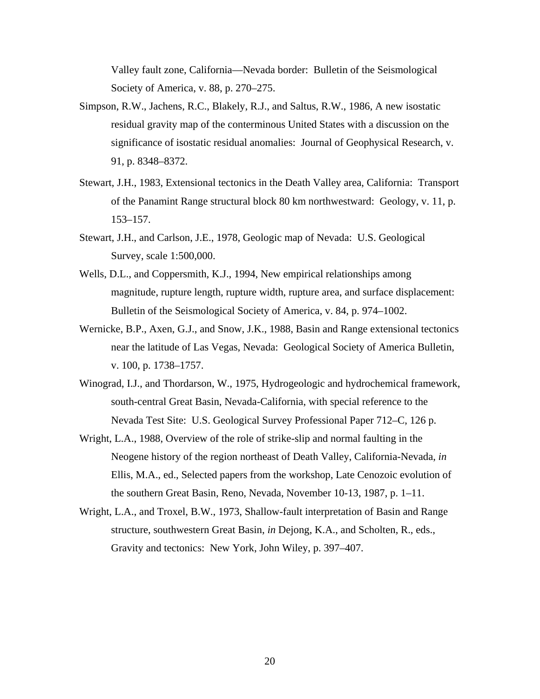Valley fault zone, California—Nevada border: Bulletin of the Seismological Society of America, v. 88, p. 270–275.

- Simpson, R.W., Jachens, R.C., Blakely, R.J., and Saltus, R.W., 1986, A new isostatic residual gravity map of the conterminous United States with a discussion on the significance of isostatic residual anomalies: Journal of Geophysical Research, v. 91, p. 8348–8372.
- Stewart, J.H., 1983, Extensional tectonics in the Death Valley area, California: Transport of the Panamint Range structural block 80 km northwestward: Geology, v. 11, p. 153–157.
- Stewart, J.H., and Carlson, J.E., 1978, Geologic map of Nevada: U.S. Geological Survey, scale 1:500,000.
- Wells, D.L., and Coppersmith, K.J., 1994, New empirical relationships among magnitude, rupture length, rupture width, rupture area, and surface displacement: Bulletin of the Seismological Society of America, v. 84, p. 974–1002.
- Wernicke, B.P., Axen, G.J., and Snow, J.K., 1988, Basin and Range extensional tectonics near the latitude of Las Vegas, Nevada: Geological Society of America Bulletin, v. 100, p. 1738–1757.
- Winograd, I.J., and Thordarson, W., 1975, Hydrogeologic and hydrochemical framework, south-central Great Basin, Nevada-California, with special reference to the Nevada Test Site: U.S. Geological Survey Professional Paper 712–C, 126 p.
- Wright, L.A., 1988, Overview of the role of strike-slip and normal faulting in the Neogene history of the region northeast of Death Valley, California-Nevada, *in* Ellis, M.A., ed., Selected papers from the workshop, Late Cenozoic evolution of the southern Great Basin, Reno, Nevada, November 10-13, 1987, p. 1–11.
- Wright, L.A., and Troxel, B.W., 1973, Shallow-fault interpretation of Basin and Range structure, southwestern Great Basin, *in* Dejong, K.A., and Scholten, R., eds., Gravity and tectonics: New York, John Wiley, p. 397–407.